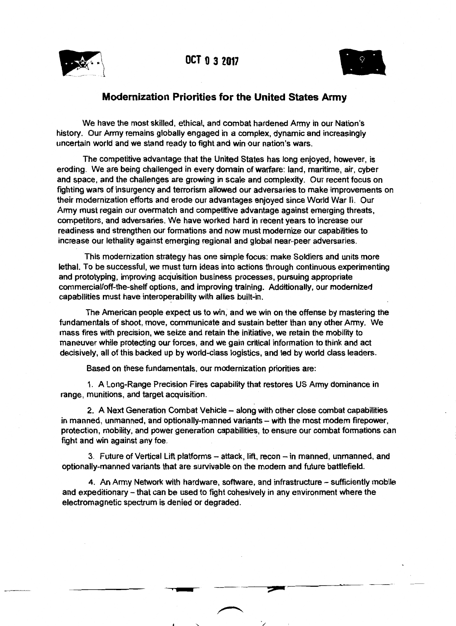



## **Modernization Priorities for the United States Army**

We have the most skilled, ethical, and combat hardened Army in our Nation's history. Our Army remains globally engaged in a complex, dynamic and increasingly uncertain world and we stand ready to fight and win our nation's wars.

The competitive advantage that the United States has long enjoyed, however, is eroding. We are being challenged in every domain of warfare: land, maritime, air, cyber and space, and the challenges are growing in scale and complexity. Our recent focus on fighting wars of insurgency and terrorism allowed our adversaries to make improvements on their modernization efforts and erode our advantages enjoyed since World War II. Our Army must regain our overmatch and competitive advantage against emerging threats, competitors, and adversaries. We have worked hard in recent years to increase our readiness and strengthen our formations and now must modernize our capabilities to increase our lethality against emerging regional and global near-peer adversaries.

This modernization strategy has one simple focus: make Soldiers and units more lethal. To be successful, we must turn ideas into actions through continuous experimenting and prototyping, improving acquisition business processes, pursuing appropriate commercial/off-the-shelf options, and improving training. Additionally, our modernized capabilities must have interoperability with allies built-in.

The American people expect us to win, and we win on the offense by mastering the fundamentals of shoot, move, communicate and sustain better than any other Army. We mass fires with precision, we seize and retain the initiative, we retain the mobility to maneuver while protecting our forces, and we gain critical information to think and act decisively, all of this backed up by world-class logistics, and led by world class leaders.

Based on these fundamentals, our modernization priorities are:

1. A Long-Range Precision Fires capability that restores US Army dominance in range, munitions, and target acquisition.

2. A Next Generation Combat Vehicle – along with other close combat capabilities in manned, unmanned, and optionally-manned variants - with the most modern firepower, protection, mobility, and power generation capabilities, to ensure our combat formations can fight and win against any foe.

3. Future of Vertical Lift platforms - attack, lift, recon - in manned, unmanned, and optionally-manned variants that are survivable on the modem and future battlefield.

4. An Army Network with hardware, software, and infrastructure - sufficiently mobile and expeditionary - that can be used to fight cohesively in any environment where the electromagnetic spectrum is denied or degraded.

>